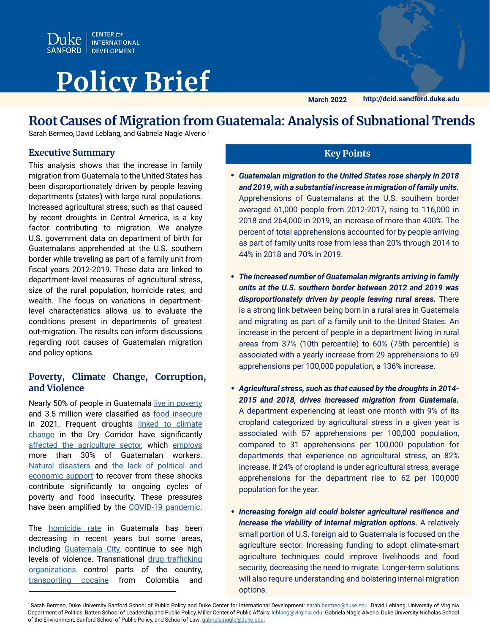

# **Policy Brief**

**March 2022 http://dcid.sandford.duke.edu**

## **Root Causes of Migration from Guatemala: Analysis of Subnational Trends**

Sarah Bermeo, David Leblang, and Gabriela Nagle Alverio<sup>1</sup>

#### **Executive Summary Key Points**

This analysis shows that the increase in family migration from Guatemala to the United States has been disproportionately driven by people leaving departments (states) with large rural populations. Increased agricultural stress, such as that caused by recent droughts in Central America, is a key factor contributing to migration. We analyze U.S. government data on department of birth for Guatemalans apprehended at the U.S. southern border while traveling as part of a family unit from fiscal years 2012-2019. These data are linked to department-level measures of agricultural stress, size of the rural population, homicide rates, and wealth. The focus on variations in departmentlevel characteristics allows us to evaluate the conditions present in departments of greatest out-migration. The results can inform discussions regarding root causes of Guatemalan migration and policy options.

#### **Poverty, Climate Change, Corruption, and Violence**

Nearly 50% of people in Guatemala [live in poverty](https://databank.worldbank.org/data/download/poverty/33EF03BB-9722-4AE2-ABC7-AA2972D68AFE/Global_POVEQ_GTM.pdf) and 3.5 million were classified as [food insecure](https://www.ipcinfo.org/fileadmin/user_upload/ipcinfo/docs/IPC_Guatemala_AcuteFoodInsecurity_2021May2022Jan_Report_Spanish.pdf) in 2021. Frequent droughts [linked to climate](https://doi.org/10.1088/1748-9326/abc5e2)  [change](https://doi.org/10.1088/1748-9326/abc5e2) in the Dry Corridor have significantly [affected the agriculture sector](https://www.migrationpolicy.org/article/climate-food-insecurity-migration-central-america-guatemala), which [employs](https://www.usaid.gov/guatemala/economic-growth) more than 30% of Guatemalan workers. [Natural disasters](https://www.unicef.org/lac/en/stories/impact-of-hurricanes-eta-and-iota) and [the lack of political and](https://www.vox.com/policy-and-politics/2021/3/22/22335816/border-crisis-migrant-hurricane-eta-iota)  [economic support](https://www.vox.com/policy-and-politics/2021/3/22/22335816/border-crisis-migrant-hurricane-eta-iota) to recover from these shocks contribute significantly to ongoing cycles of poverty and food insecurity. These pressures have been amplified by the [COVID-19 pandemic](http://southernvoice.org/covid-19-has-exacerbated-poverty-and-inequality-in-northern-triangle-countries/).

The **homicide** rate in Guatemala has been decreasing in recent years but some areas, including [Guatemala City](https://insightcrime.org/news/analysis/2019-homicides-latin-america-capital/), continue to see high levels of violence. Transnational [drug trafficking](https://insightcrime.org/guatemala-organized-crime-news/guatemala/)  [organizations](https://insightcrime.org/guatemala-organized-crime-news/guatemala/) control parts of the country, [transporting cocaine](https://www.washingtonpost.com/world/2020/07/05/guatemala-cocaine-trafficking-laguna-del-tigre/) from Colombia and

- *Guatemalan migration to the United States rose sharply in 2018 and 2019, with a substantial increase in migration of family units.*  Apprehensions of Guatemalans at the U.S. southern border averaged 61,000 people from 2012-2017, rising to 116,000 in 2018 and 264,000 in 2019, an increase of more than 400%. The percent of total apprehensions accounted for by people arriving as part of family units rose from less than 20% through 2014 to 44% in 2018 and 70% in 2019.
- *The increased number of Guatemalan migrants arriving in family units at the U.S. southern border between 2012 and 2019 was disproportionately driven by people leaving rural areas.* There is a strong link between being born in a rural area in Guatemala and migrating as part of a family unit to the United States. An increase in the percent of people in a department living in rural areas from 37% (10th percentile) to 60% (75th percentile) is associated with a yearly increase from 29 apprehensions to 69 apprehensions per 100,000 population, a 136% increase.
- *Agricultural stress, such as that caused by the droughts in 2014- 2015 and 2018, drives increased migration from Guatemala.*  A department experiencing at least one month with 9% of its cropland categorized by agricultural stress in a given year is associated with 57 apprehensions per 100,000 population, compared to 31 apprehensions per 100,000 population for departments that experience no agricultural stress, an 82% increase. If 24% of cropland is under agricultural stress, average apprehensions for the department rise to 62 per 100,000 population for the year.
- *Increasing foreign aid could bolster agricultural resilience and increase the viability of internal migration options.* A relatively small portion of U.S. foreign aid to Guatemala is focused on the agriculture sector. Increasing funding to adopt climate-smart agriculture techniques could improve livelihoods and food security, decreasing the need to migrate. Longer-term solutions will also require understanding and bolstering internal migration options.

<sup>&</sup>lt;sup>1</sup> Sarah Bermeo, Duke University Sanford School of Public Policy and Duke Center for International Development: [sarah.bermeo@duke.edu](mailto:sarah.bermeo%40duke.edu?subject=). David Leblang, University of Virginia Department of Politics, Batten School of Leadership and Public Policy, Miller Center of Public Affairs: [leblang@virginia.edu.](mailto:leblang%40virginia.edu?subject=) Gabriela Nagle Alverio, Duke University Nicholas School of the Environment, Sanford School of Public Policy, and School of Law: [gabriela.nagle@duke.edu.](mailto:gabriela.nagle%40duke.edu?subject=)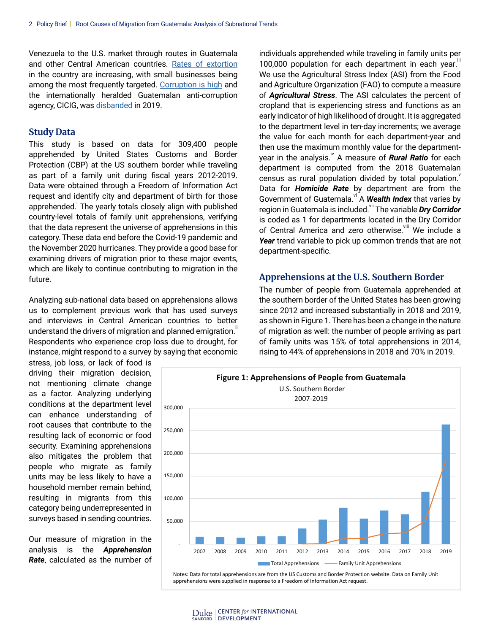Venezuela to the U.S. market through routes in Guatemala and other Central American countries. [Rates of extortion](https://data2.unhcr.org/en/documents/download/77044) in the country are increasing, with small businesses being among the most frequently targeted. [Corruption is high](https://www.worldpoliticsreview.com/articles/29842/on-fighting-corruption-guatemala-just-took-another-step-back) and the internationally heralded Guatemalan anti-corruption agency, CICIG, was [disbanded](https://www.wola.org/analysis/guatemalas-corrupt-threaten-historic-anti-corruption-legacy/) in 2019.

#### **Study Data**

This study is based on data for 309,400 people apprehended by United States Customs and Border Protection (CBP) at the US southern border while traveling as part of a family unit during fiscal years 2012-2019. Data were obtained through a Freedom of Information Act request and identify city and department of birth for those apprehended. The yearly totals closely align with published country-level totals of family unit apprehensions, verifying that the data represent the universe of apprehensions in this category.These data end before the Covid-19 pandemic and the November 2020 hurricanes. They provide a good base for examining drivers of migration prior to these major events, which are likely to continue contributing to migration in the future.

Analyzing sub-national data based on apprehensions allows us to complement previous work that has used surveys and interviews in Central American countries to better understand the drivers of migration and planned emigration." Respondents who experience crop loss due to drought, for instance, might respond to a survey by saying that economic

stress, job loss, or lack of food is driving their migration decision, not mentioning climate change as a factor. Analyzing underlying conditions at the department level can enhance understanding of root causes that contribute to the resulting lack of economic or food security. Examining apprehensions also mitigates the problem that people who migrate as family units may be less likely to have a household member remain behind, resulting in migrants from this category being underrepresented in surveys based in sending countries.

Our measure of migration in the analysis is the *Apprehension Rate*, calculated as the number of individuals apprehended while traveling in family units per 100,000 population for each department in each year. We use the Agricultural Stress Index (ASI) from the Food and Agriculture Organization (FAO) to compute a measure of *Agricultural Stress*. The ASI calculates the percent of cropland that is experiencing stress and functions as an early indicator of high likelihood of drought. It is aggregated to the department level in ten-day increments; we average the value for each month for each department-year and then use the maximum monthly value for the departmentyear in the analysis.<sup>"</sup> A measure of *Rural Ratio* for each department is computed from the 2018 Guatemalan census as rural population divided by total population. Data for *Homicide Rate* by department are from the Government of Guatemala.<sup>vi</sup> A **Wealth Index** that varies by region in Guatemala is included.<sup>vii</sup> The variable *Dry Corridor* is coded as 1 for departments located in the Dry Corridor of Central America and zero otherwise. We include a *Year* trend variable to pick up common trends that are not department-specific.

#### **Apprehensions at the U.S. Southern Border**

The number of people from Guatemala apprehended at the southern border of the United States has been growing since 2012 and increased substantially in 2018 and 2019, as shown in Figure 1. There has been a change in the nature of migration as well: the number of people arriving as part of family units was 15% of total apprehensions in 2014, rising to 44% of apprehensions in 2018 and 70% in 2019.



Notes: Data for total apprehensions are from the US Customs and Border Protection website. Data on Family Unit apprehensions were supplied in response to a Freedom of Information Act request.

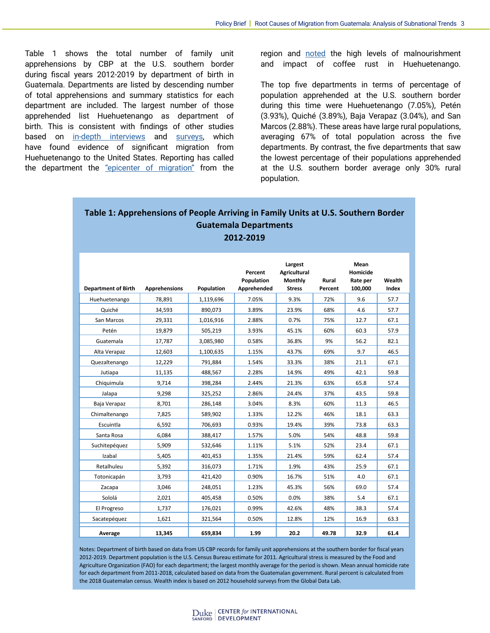Table 1 shows the total number of family unit apprehensions by CBP at the U.S. southern border during fiscal years 2012-2019 by department of birth in Guatemala. Departments are listed by descending number of total apprehensions and summary statistics for each department are included. The largest number of those apprehended list Huehuetenango as department of birth. This is consistent with findings of other studies based on [in-depth interviews](https://www.migrationpolicy.org/research/migration-huehuetenango-guatemala) and [surveys](https://www.migrationpolicy.org/research/motivations-costs-central-american-migration), which have found evidence of significant migration from Huehuetenango to the United States. Reporting has called the department the ["epicenter of migration"](https://www.nationalgeographic.com/culture/article/how-quiet-guatemala-region-became-migration-epicenter) from the region and [noted](https://www.ngoaidmap.org/issues/building-resilience-central-americas-dry-corridor) the high levels of malnourishment and impact of coffee rust in Huehuetenango.

The top five departments in terms of percentage of population apprehended at the U.S. southern border during this time were Huehuetenango (7.05%), Petén (3.93%), Quiché (3.89%), Baja Verapaz (3.04%), and San Marcos (2.88%). These areas have large rural populations, averaging 67% of total population across the five departments. By contrast, the five departments that saw the lowest percentage of their populations apprehended at the U.S. southern border average only 30% rural population.

#### **Table 1: Apprehensions of People Arriving in Family Units at U.S. Southern Border Guatemala Departments 2012-2019**

| <b>Department of Birth</b> | <b>Apprehensions</b> | Population | Percent<br>Population<br>Apprehended | Largest<br><b>Agricultural</b><br>Monthly<br><b>Stress</b> | Rural<br>Percent | Mean<br>Homicide<br>Rate per<br>100,000 | Wealth<br>Index |
|----------------------------|----------------------|------------|--------------------------------------|------------------------------------------------------------|------------------|-----------------------------------------|-----------------|
| Huehuetenango              | 78,891               | 1,119,696  | 7.05%                                | 9.3%                                                       | 72%              | 9.6                                     | 57.7            |
| Quiché                     | 34,593               | 890,073    | 3.89%                                | 23.9%                                                      | 68%              | 4.6                                     | 57.7            |
| San Marcos                 | 29,331               | 1,016,916  | 2.88%                                | 0.7%                                                       | 75%              | 12.7                                    | 67.1            |
| Petén                      | 19,879               | 505,219    | 3.93%                                | 45.1%                                                      | 60%              | 60.3                                    | 57.9            |
| Guatemala                  | 17.787               | 3,085,980  | 0.58%                                | 36.8%                                                      | 9%               | 56.2                                    | 82.1            |
| Alta Verapaz               | 12,603               | 1,100,635  | 1.15%                                | 43.7%                                                      | 69%              | 9.7                                     | 46.5            |
| Quezaltenango              | 12,229               | 791,884    | 1.54%                                | 33.3%                                                      | 38%              | 21.1                                    | 67.1            |
| Jutiapa                    | 11,135               | 488,567    | 2.28%                                | 14.9%                                                      | 49%              | 42.1                                    | 59.8            |
| Chiquimula                 | 9.714                | 398,284    | 2.44%                                | 21.3%                                                      | 63%              | 65.8                                    | 57.4            |
| Jalapa                     | 9,298                | 325,252    | 2.86%                                | 24.4%                                                      | 37%              | 43.5                                    | 59.8            |
| Baja Verapaz               | 8,701                | 286,148    | 3.04%                                | 8.3%                                                       | 60%              | 11.3                                    | 46.5            |
| Chimaltenango              | 7,825                | 589,902    | 1.33%                                | 12.2%                                                      | 46%              | 18.1                                    | 63.3            |
| Escuintla                  | 6,592                | 706,693    | 0.93%                                | 19.4%                                                      | 39%              | 73.8                                    | 63.3            |
| Santa Rosa                 | 6,084                | 388,417    | 1.57%                                | 5.0%                                                       | 54%              | 48.8                                    | 59.8            |
| Suchitepéquez              | 5,909                | 532,646    | 1.11%                                | 5.1%                                                       | 52%              | 23.4                                    | 67.1            |
| Izabal                     | 5,405                | 401,453    | 1.35%                                | 21.4%                                                      | 59%              | 62.4                                    | 57.4            |
| Retalhuleu                 | 5,392                | 316,073    | 1.71%                                | 1.9%                                                       | 43%              | 25.9                                    | 67.1            |
| Totonicapán                | 3,793                | 421,420    | 0.90%                                | 16.7%                                                      | 51%              | 4.0                                     | 67.1            |
| Zacapa                     | 3,046                | 248,051    | 1.23%                                | 45.3%                                                      | 56%              | 69.0                                    | 57.4            |
| Sololá                     | 2,021                | 405,458    | 0.50%                                | 0.0%                                                       | 38%              | 5.4                                     | 67.1            |
| El Progreso                | 1,737                | 176,021    | 0.99%                                | 42.6%                                                      | 48%              | 38.3                                    | 57.4            |
| Sacatepéquez               | 1,621                | 321,564    | 0.50%                                | 12.8%                                                      | 12%              | 16.9                                    | 63.3            |
| Average                    | 13,345               | 659,834    | 1.99                                 | 20.2                                                       | 49.78            | 32.9                                    | 61.4            |

Notes: Department of birth based on data from US CBP records for family unit apprehensions at the southern border for fiscal years 2012-2019. Department population is the U.S. Census Bureau estimate for 2011. Agricultural stress is measured by the Food and Agriculture Organization (FAO) for each department; the largest monthly average for the period is shown. Mean annual homicide rate for each department from 2011-2018, calculated based on data from the Guatemalan government. Rural percent is calculated from the 2018 Guatemalan census. Wealth index is based on 2012 household surveys from the Global Data Lab.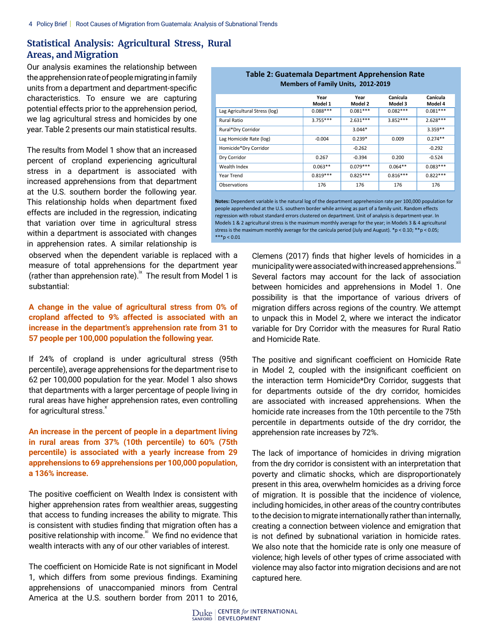### **Statistical Analysis: Agricultural Stress, Rural Areas, and Migration**

Our analysis examines the relationship between the apprehension rate of people migrating in family units from a department and department-specific characteristics. To ensure we are capturing potential effects prior to the apprehension period, we lag agricultural stress and homicides by one year. Table 2 presents our main statistical results.

The results from Model 1 show that an increased percent of cropland experiencing agricultural stress in a department is associated with increased apprehensions from that department at the U.S. southern border the following year. This relationship holds when department fixed effects are included in the regression, indicating that variation over time in agricultural stress within a department is associated with changes in apprehension rates. A similar relationship is

observed when the dependent variable is replaced with a measure of total apprehensions for the department year (rather than apprehension rate).<sup>ix</sup> The result from Model 1 is substantial:

#### **A change in the value of agricultural stress from 0% of cropland affected to 9% affected is associated with an increase in the department's apprehension rate from 31 to 57 people per 100,000 population the following year.**

If 24% of cropland is under agricultural stress (95th percentile), average apprehensions for the department rise to 62 per 100,000 population for the year. Model 1 also shows that departments with a larger percentage of people living in rural areas have higher apprehension rates, even controlling for agricultural stress. $x$ 

**An increase in the percent of people in a department living in rural areas from 37% (10th percentile) to 60% (75th percentile) is associated with a yearly increase from 29 apprehensions to 69 apprehensions per 100,000 population, a 136% increase.**

The positive coefficient on Wealth Index is consistent with higher apprehension rates from wealthier areas, suggesting that access to funding increases the ability to migrate. This is consistent with studies finding that migration often has a positive relationship with income.<sup>xi</sup> We find no evidence that wealth interacts with any of our other variables of interest.

The coefficient on Homicide Rate is not significant in Model 1, which differs from some previous findings. Examining apprehensions of unaccompanied minors from Central America at the U.S. southern border from 2011 to 2016,

| . apre =: Ouatemara Department / Ippi chemical nate<br><b>Members of Family Units, 2012-2019</b> |                 |                 |                     |                     |  |  |  |  |  |
|--------------------------------------------------------------------------------------------------|-----------------|-----------------|---------------------|---------------------|--|--|--|--|--|
|                                                                                                  | Year<br>Model 1 | Year<br>Model 2 | Canícula<br>Model 3 | Canícula<br>Model 4 |  |  |  |  |  |
| Lag Agricultural Stress (log)                                                                    | $0.088***$      | $0.081***$      | $0.082***$          | $0.081***$          |  |  |  |  |  |
| <b>Rural Ratio</b>                                                                               | $3.755***$      | $2.631***$      | $3.852***$          | $2.628***$          |  |  |  |  |  |
| Rural*Dry Corridor                                                                               |                 | $3.044*$        |                     | $3.359**$           |  |  |  |  |  |
| Lag Homicide Rate (log)                                                                          | $-0.004$        | $0.239*$        | 0.009               | $0.274**$           |  |  |  |  |  |
| Homicide*Dry Corridor                                                                            |                 | $-0.262$        |                     | $-0.292$            |  |  |  |  |  |
| Dry Corridor                                                                                     | 0.267           | $-0.394$        | 0.200               | $-0.524$            |  |  |  |  |  |
| Wealth Index                                                                                     | $0.063**$       | $0.079***$      | $0.064**$           | $0.083***$          |  |  |  |  |  |
| Year Trend                                                                                       | $0.819***$      | $0.825***$      | $0.816***$          | $0.822***$          |  |  |  |  |  |
| Observations                                                                                     | 176             | 176             | 176                 | 176                 |  |  |  |  |  |

# **Table 2: Guatemala Department Apprehension Rate**

**Notes:** Dependent variable is the natural log of the department apprehension rate per 100,000 population for people apprehended at the U.S. southern border while arriving as part of a family unit. Random effects regression with robust standard errors clustered on department. Unit of analysis is department-year. In Models 1 & 2 agricultural stress is the maximum monthly average for the year; in Models 3 & 4 agricultural stress is the maximum monthly average for the canícula period (July and August).  $*_p$  < 0.10;  $*_p$  < 0.05;  $***p < 0.01$ 

> Clemens (2017) finds that higher levels of homicides in a municipality were associated with increased apprehensions.<sup>\*</sup> Several factors may account for the lack of association between homicides and apprehensions in Model 1. One possibility is that the importance of various drivers of migration differs across regions of the country. We attempt to unpack this in Model 2, where we interact the indicator variable for Dry Corridor with the measures for Rural Ratio and Homicide Rate.

> The positive and significant coefficient on Homicide Rate in Model 2, coupled with the insignificant coefficient on the interaction term Homicide\*Dry Corridor, suggests that for departments outside of the dry corridor, homicides are associated with increased apprehensions. When the homicide rate increases from the 10th percentile to the 75th percentile in departments outside of the dry corridor, the apprehension rate increases by 72%.

> The lack of importance of homicides in driving migration from the dry corridor is consistent with an interpretation that poverty and climatic shocks, which are disproportionately present in this area, overwhelm homicides as a driving force of migration. It is possible that the incidence of violence, including homicides, in other areas of the country contributes to the decision to migrate internationally rather than internally, creating a connection between violence and emigration that is not defined by subnational variation in homicide rates. We also note that the homicide rate is only one measure of violence; high levels of other types of crime associated with violence may also factor into migration decisions and are not captured here.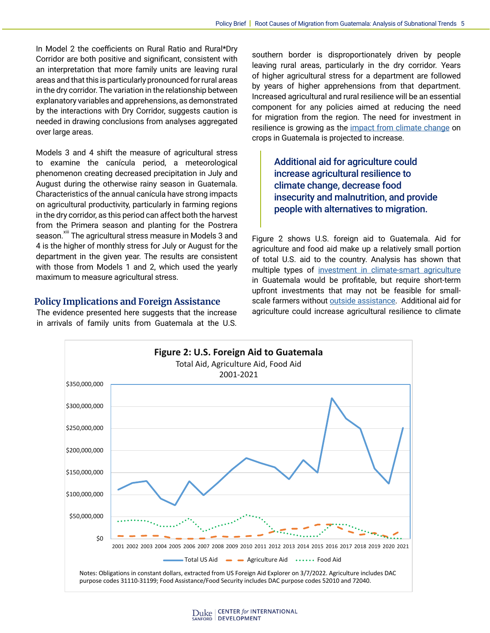In Model 2 the coefficients on Rural Ratio and Rural\*Dry Corridor are both positive and significant, consistent with an interpretation that more family units are leaving rural areas and that this is particularly pronounced for rural areas in the dry corridor. The variation in the relationship between explanatory variables and apprehensions, as demonstrated by the interactions with Dry Corridor, suggests caution is needed in drawing conclusions from analyses aggregated over large areas.

Models 3 and 4 shift the measure of agricultural stress to examine the canícula period, a meteorological phenomenon creating decreased precipitation in July and August during the otherwise rainy season in Guatemala. Characteristics of the annual canícula have strong impacts on agricultural productivity, particularly in farming regions in the dry corridor, as this period can affect both the harvest from the Primera season and planting for the Postrera season.<sup>xiii</sup> The agricultural stress measure in Models 3 and 4 is the higher of monthly stress for July or August for the department in the given year. The results are consistent with those from Models 1 and 2, which used the yearly maximum to measure agricultural stress.

#### **Policy Implications and Foreign Assistance**

The evidence presented here suggests that the increase in arrivals of family units from Guatemala at the U.S. southern border is disproportionately driven by people leaving rural areas, particularly in the dry corridor. Years of higher agricultural stress for a department are followed by years of higher apprehensions from that department. Increased agricultural and rural resilience will be an essential component for any policies aimed at reducing the need for migration from the region. The need for investment in resilience is growing as the [impact from climate change](https://www.ifpri.org/publication/climate-change-agriculture-and-adaptation-options-guatemala) on crops in Guatemala is projected to increase.

> Additional aid for agriculture could increase agricultural resilience to climate change, decrease food insecurity and malnutrition, and provide people with alternatives to migration.

Figure 2 shows U.S. foreign aid to Guatemala. Aid for agriculture and food aid make up a relatively small portion of total U.S. aid to the country. Analysis has shown that multiple types of [investment in climate-smart agriculture](https://doi.org/10.1016/j.agsy.2016.05.004) in Guatemala would be profitable, but require short-term upfront investments that may not be feasible for smallscale farmers without [outside assistance](https://www.migrationpolicy.org/article/climate-food-insecurity-migration-central-america-guatemala). Additional aid for agriculture could increase agricultural resilience to climate

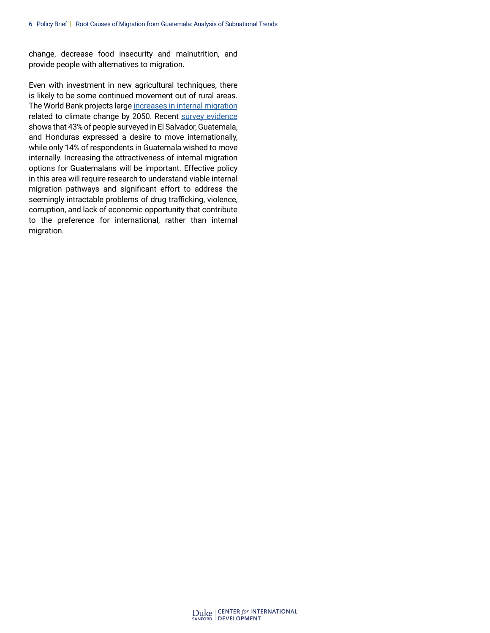change, decrease food insecurity and malnutrition, and provide people with alternatives to migration.

Even with investment in new agricultural techniques, there is likely to be some continued movement out of rural areas. The World Bank projects large [increases in internal migration](https://openknowledge.worldbank.org/handle/10986/29461) related to climate change by 2050. Recent [survey evidence](https://www.migrationpolicy.org/research/motivations-costs-central-american-migration) shows that 43% of people surveyed in El Salvador, Guatemala, and Honduras expressed a desire to move internationally, while only 14% of respondents in Guatemala wished to move internally. Increasing the attractiveness of internal migration options for Guatemalans will be important. Effective policy in this area will require research to understand viable internal migration pathways and significant effort to address the seemingly intractable problems of drug trafficking, violence, corruption, and lack of economic opportunity that contribute to the preference for international, rather than internal migration.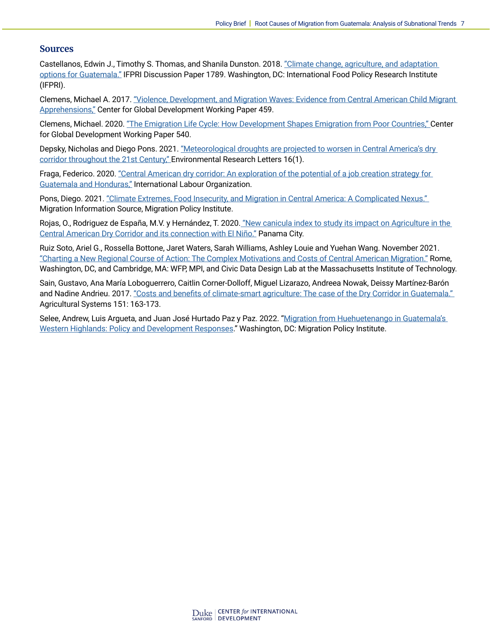#### **Sources**

Castellanos, Edwin J., Timothy S. Thomas, and Shanila Dunston. 2018. "Climate change, agriculture, and adaptation [options for Guatemala."](http://ebrary.ifpri.org/cdm/singleitem/collection/p15738coll2/id/133036 ) IFPRI Discussion Paper 1789. Washington, DC: International Food Policy Research Institute (IFPRI).

Clemens, Michael A. 2017. ["Violence, Development, and Migration Waves: Evidence from Central American Child Migrant](https://www.cgdev.org/publication/violence-development-and-migration-waves-evidence-central-american-child-migrant )  [Apprehensions,"](https://www.cgdev.org/publication/violence-development-and-migration-waves-evidence-central-american-child-migrant ) Center for Global Development Working Paper 459.

Clemens, Michael. 2020. ["The Emigration Life Cycle: How Development Shapes Emigration from Poor Countries," C](https://www.cgdev.org/publication/emigration-life-cycle-how-development-shapes-emigration-poor-countries   )enter for Global Development Working Paper 540.

Depsky, Nicholas and Diego Pons. 2021. "Meteorological droughts are projected to worsen in Central America's dry [corridor throughout the 21st Century," E](https://doi.org/10.1088/1748-9326/abc5e2 )nvironmental Research Letters 16(1).

Fraga, Federico. 2020. ["Central American dry corridor: An exploration of the potential of a job creation strategy for](https://www.ilo.org/wcmsp5/groups/public/---ed_emp/---ifp_skills/documents/publication/wcms_744900.pdf)  [Guatemala and Honduras,"](https://www.ilo.org/wcmsp5/groups/public/---ed_emp/---ifp_skills/documents/publication/wcms_744900.pdf) International Labour Organization.

Pons, Diego. 2021. ["Climate Extremes, Food Insecurity, and Migration in Central America: A Complicated Nexus."](https://www.migrationpolicy.org/article/climate-food-insecurity-migration-central-america-guatemala )  Migration Information Source, Migration Policy Institute.

Rojas, O., Rodriguez de España, M.V. y Hernández, T. 2020. ["New canicula index to study its impact on Agriculture in the](https://doi.org/10.4060/cb1818en )  [Central American Dry Corridor and its connection with El Niño."](https://doi.org/10.4060/cb1818en ) Panama City.

Ruiz Soto, Ariel G., Rossella Bottone, Jaret Waters, Sarah Williams, Ashley Louie and Yuehan Wang. November 2021. ["Charting a New Regional Course of Action: The Complex Motivations and Costs of Central American Migration."](https://www.migrationpolicy.org/research/motivations-costs-central-american-migration) Rome, Washington, DC, and Cambridge, MA: WFP, MPI, and Civic Data Design Lab at the Massachusetts Institute of Technology.

Sain, Gustavo, Ana María Loboguerrero, Caitlin Corner-Dolloff, Miguel Lizarazo, Andreea Nowak, Deissy Martínez-Barón and Nadine Andrieu. 2017. "Costs and benefits of climate-smart agriculture: The case of the Dry Corridor in Guatemala." Agricultural Systems 151: 163-173.

Selee, Andrew, Luis Argueta, and Juan José Hurtado Paz y Paz. 2022. "[Migration from Huehuetenango in Guatemala's](https://www.migrationpolicy.org/research/migration-huehuetenango-guatemala )  [Western Highlands: Policy and Development Responses](https://www.migrationpolicy.org/research/migration-huehuetenango-guatemala )." Washington, DC: Migration Policy Institute.